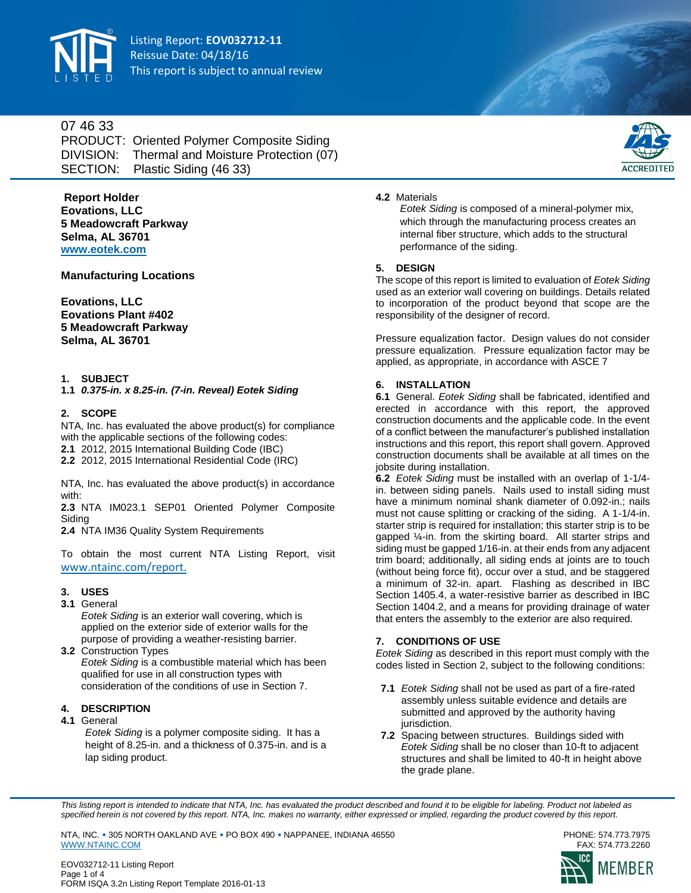

Listing Report: **EOV032712-11** Reissue Date: 04/18/16 This report is subject to annual review

## 07 46 33

PRODUCT: Oriented Polymer Composite Siding DIVISION: Thermal and Moisture Protection (07) SECTION: Plastic Siding (46 33)



#### **4.2** Materials

**Report Holder Eovations, LLC 5 Meadowcraft Parkway Selma, AL 36701 <www.eotek.com>**

**Manufacturing Locations**

**Eovations, LLC Eovations Plant #402 5 Meadowcraft Parkway Selma, AL 36701**

## **1. SUBJECT**

**1.1** *0.375-in. x 8.25-in. (7-in. Reveal) Eotek Siding*

### **2. SCOPE**

NTA, Inc. has evaluated the above product(s) for compliance with the applicable sections of the following codes:

**2.1** 2012, 2015 International Building Code (IBC)

**2.2** 2012, 2015 International Residential Code (IRC)

NTA, Inc. has evaluated the above product(s) in accordance with:

**2.3** NTA IM023.1 SEP01 Oriented Polymer Composite Siding

**2.4** NTA IM36 Quality System Requirements

To obtain the most current NTA Listing Report, visit [www.ntainc.com/report.](https://online.ntainc.com/public/certification/reports/)

#### **3. USES**

**3.1** General

*Eotek Siding* is an exterior wall covering, which is applied on the exterior side of exterior walls for the purpose of providing a weather-resisting barrier.

**3.2** Construction Types *Eotek Siding* is a combustible material which has been qualified for use in all construction types with consideration of the conditions of use in Section 7.

## **4. DESCRIPTION**

#### **4.1** General

*Eotek Siding* is a polymer composite siding. It has a height of 8.25-in. and a thickness of 0.375-in. and is a lap siding product.

*Eotek Siding* is composed of a mineral-polymer mix, which through the manufacturing process creates an internal fiber structure, which adds to the structural performance of the siding.

#### **5. DESIGN**

The scope of this report is limited to evaluation of *Eotek Siding*  used as an exterior wall covering on buildings. Details related to incorporation of the product beyond that scope are the responsibility of the designer of record.

Pressure equalization factor. Design values do not consider pressure equalization. Pressure equalization factor may be applied, as appropriate, in accordance with ASCE 7

#### **6. INSTALLATION**

**6.1** General. *Eotek Siding* shall be fabricated, identified and erected in accordance with this report, the approved construction documents and the applicable code. In the event of a conflict between the manufacturer's published installation instructions and this report, this report shall govern. Approved construction documents shall be available at all times on the jobsite during installation.

**6.2** *Eotek Siding* must be installed with an overlap of 1-1/4 in. between siding panels. Nails used to install siding must have a minimum nominal shank diameter of 0.092-in.; nails must not cause splitting or cracking of the siding. A 1-1/4-in. starter strip is required for installation; this starter strip is to be gapped ¼-in. from the skirting board. All starter strips and siding must be gapped 1/16-in. at their ends from any adjacent trim board; additionally, all siding ends at joints are to touch (without being force fit), occur over a stud, and be staggered a minimum of 32-in. apart. Flashing as described in IBC Section 1405.4, a water-resistive barrier as described in IBC Section 1404.2, and a means for providing drainage of water that enters the assembly to the exterior are also required.

## **7. CONDITIONS OF USE**

*Eotek Siding* as described in this report must comply with the codes listed in Section 2, subject to the following conditions:

- **7.1** *Eotek Siding* shall not be used as part of a fire-rated assembly unless suitable evidence and details are submitted and approved by the authority having jurisdiction.
- **7.2** Spacing between structures. Buildings sided with *Eotek Siding* shall be no closer than 10-ft to adjacent structures and shall be limited to 40-ft in height above the grade plane.

*This listing report is intended to indicate that NTA, Inc. has evaluated the product described and found it to be eligible for labeling. Product not labeled as*  specified herein is not covered by this report. NTA, Inc. makes no warranty, either expressed or implied, regarding the product covered by this report.

NTA, INC. • 305 NORTH OAKLAND AVE • PO BOX 490 • NAPPANEE, INDIANA 46550 PHONE: 574.773.7975 [WWW.NTAINC.COM](http://www.ntainc.com/)





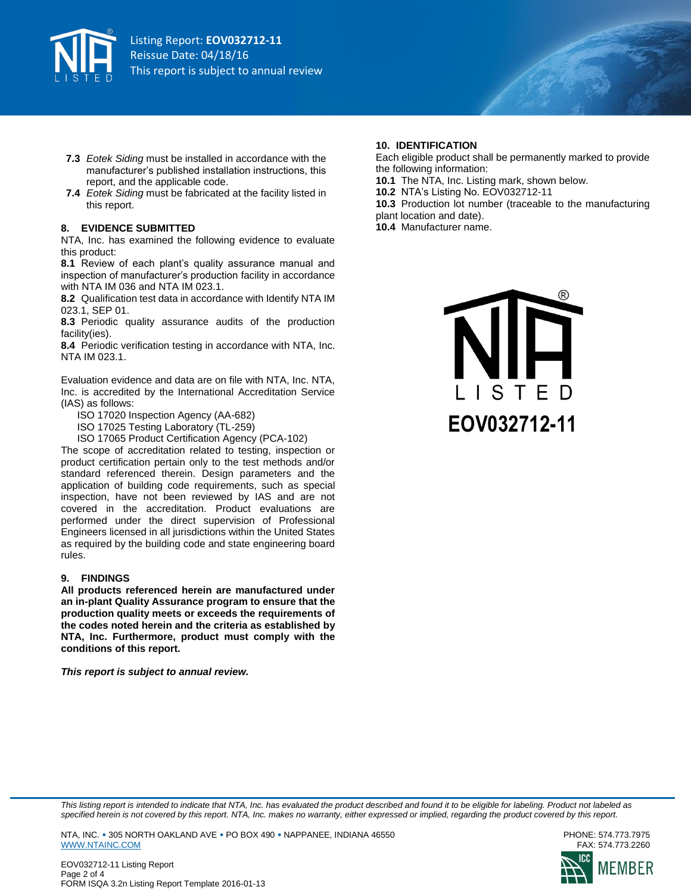

- **7.3** *Eotek Siding* must be installed in accordance with the manufacturer's published installation instructions, this report, and the applicable code.
- **7.4** *Eotek Siding* must be fabricated at the facility listed in this report.

#### **8. EVIDENCE SUBMITTED**

NTA, Inc. has examined the following evidence to evaluate this product:

**8.1** Review of each plant's quality assurance manual and inspection of manufacturer's production facility in accordance with NTA IM 036 and NTA IM 023.1.

**8.2** Qualification test data in accordance with Identify NTA IM 023.1, SEP 01.

**8.3** Periodic quality assurance audits of the production facility(ies).

**8.4** Periodic verification testing in accordance with NTA, Inc. NTA IM 023.1.

Evaluation evidence and data are on file with NTA, Inc. NTA, Inc. is accredited by the International Accreditation Service (IAS) as follows:

- ISO 17020 Inspection Agency (AA-682)
- ISO 17025 Testing Laboratory (TL-259)
- ISO 17065 Product Certification Agency (PCA-102)

The scope of accreditation related to testing, inspection or product certification pertain only to the test methods and/or standard referenced therein. Design parameters and the application of building code requirements, such as special inspection, have not been reviewed by IAS and are not covered in the accreditation. Product evaluations are performed under the direct supervision of Professional Engineers licensed in all jurisdictions within the United States as required by the building code and state engineering board rules.

#### **9. FINDINGS**

**All products referenced herein are manufactured under an in-plant Quality Assurance program to ensure that the production quality meets or exceeds the requirements of the codes noted herein and the criteria as established by NTA, Inc. Furthermore, product must comply with the conditions of this report.** 

*This report is subject to annual review.*

#### **10. IDENTIFICATION**

Each eligible product shall be permanently marked to provide the following information:

- **10.1** The NTA, Inc. Listing mark, shown below.
- **10.2** NTA's Listing No. EOV032712-11

**10.3** Production lot number (traceable to the manufacturing plant location and date).

**10.4** Manufacturer name.



*This listing report is intended to indicate that NTA, Inc. has evaluated the product described and found it to be eligible for labeling. Product not labeled as*  specified herein is not covered by this report. NTA, Inc. makes no warranty, either expressed or implied, regarding the product covered by this report.

NTA, INC. • 305 NORTH OAKLAND AVE • PO BOX 490 • NAPPANEE, INDIANA 46550 PHONE: 574.773.7975 [WWW.NTAINC.COM](http://www.ntainc.com/)



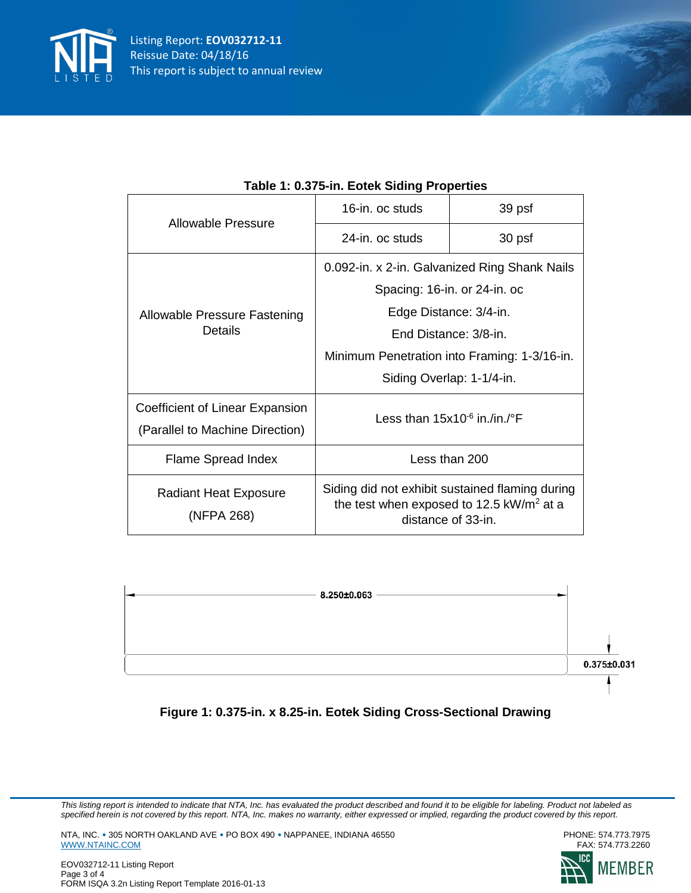

| Allowable Pressure                                                 | 16-in. oc studs                                                                                                     | 39 psf |
|--------------------------------------------------------------------|---------------------------------------------------------------------------------------------------------------------|--------|
|                                                                    | 24-in. oc studs                                                                                                     | 30 psf |
| Allowable Pressure Fastening<br><b>Details</b>                     | 0.092-in. x 2-in. Galvanized Ring Shank Nails                                                                       |        |
|                                                                    | Spacing: 16-in. or 24-in. oc                                                                                        |        |
|                                                                    | Edge Distance: 3/4-in.                                                                                              |        |
|                                                                    | End Distance: 3/8-in.                                                                                               |        |
|                                                                    | Minimum Penetration into Framing: 1-3/16-in.                                                                        |        |
|                                                                    | Siding Overlap: 1-1/4-in.                                                                                           |        |
| Coefficient of Linear Expansion<br>(Parallel to Machine Direction) | Less than $15x10^{-6}$ in /in /°F                                                                                   |        |
| Flame Spread Index                                                 | Less than 200                                                                                                       |        |
| <b>Radiant Heat Exposure</b><br>(NFPA 268)                         | Siding did not exhibit sustained flaming during<br>the test when exposed to 12.5 $kW/m2$ at a<br>distance of 33-in. |        |

# **Table 1: 0.375-in. Eotek Siding Properties**



**Figure 1: 0.375-in. x 8.25-in. Eotek Siding Cross-Sectional Drawing**

*This listing report is intended to indicate that NTA, Inc. has evaluated the product described and found it to be eligible for labeling. Product not labeled as specified herein is not covered by this report. NTA, Inc. makes no warranty, either expressed or implied, regarding the product covered by this report.*

NTA, INC. • 305 NORTH OAKLAND AVE • PO BOX 490 • NAPPANEE, INDIANA 46550<br>PHONE: 574.773.7975 PWW.NTAINC.COM [WWW.NTAINC.COM](http://www.ntainc.com/)